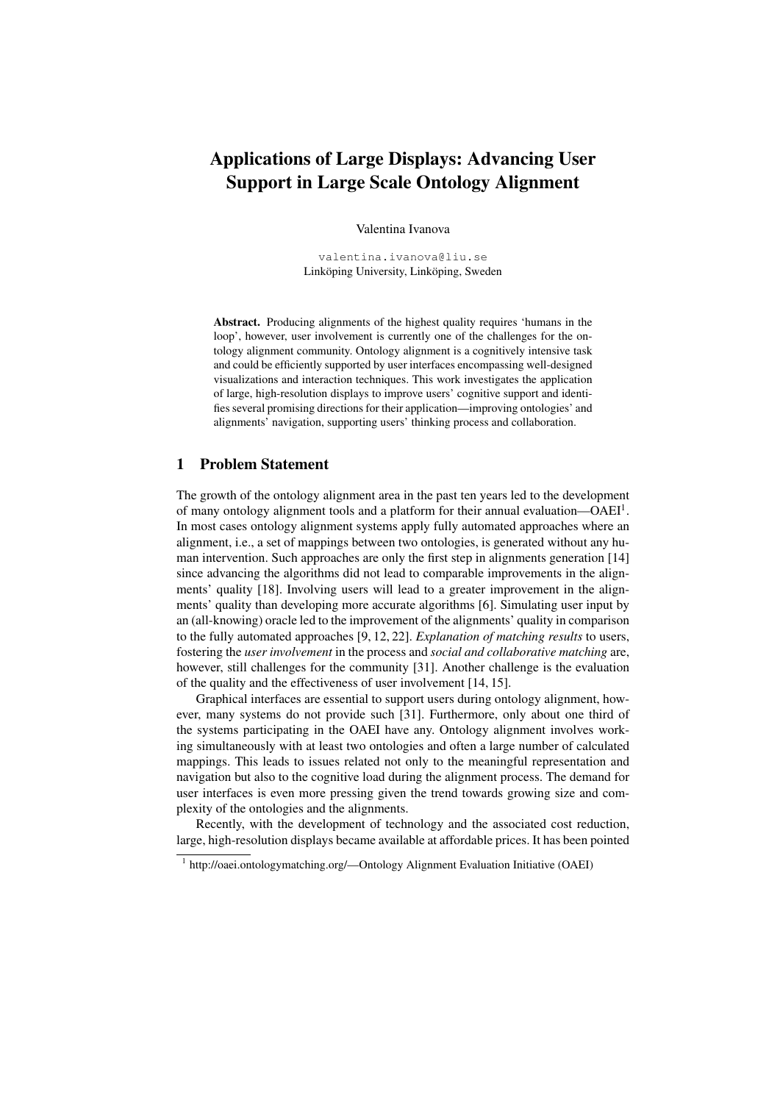# Applications of Large Displays: Advancing User Support in Large Scale Ontology Alignment

Valentina Ivanova

valentina.ivanova@liu.se Linköping University, Linköping, Sweden

Abstract. Producing alignments of the highest quality requires 'humans in the loop', however, user involvement is currently one of the challenges for the ontology alignment community. Ontology alignment is a cognitively intensive task and could be efficiently supported by user interfaces encompassing well-designed visualizations and interaction techniques. This work investigates the application of large, high-resolution displays to improve users' cognitive support and identifies several promising directions for their application—improving ontologies' and alignments' navigation, supporting users' thinking process and collaboration.

## 1 Problem Statement

The growth of the ontology alignment area in the past ten years led to the development of many ontology alignment tools and a platform for their annual evaluation-OAEI<sup>1</sup>. In most cases ontology alignment systems apply fully automated approaches where an alignment, i.e., a set of mappings between two ontologies, is generated without any human intervention. Such approaches are only the first step in alignments generation [14] since advancing the algorithms did not lead to comparable improvements in the alignments' quality [18]. Involving users will lead to a greater improvement in the alignments' quality than developing more accurate algorithms [6]. Simulating user input by an (all-knowing) oracle led to the improvement of the alignments' quality in comparison to the fully automated approaches [9, 12, 22]. *Explanation of matching results* to users, fostering the *user involvement* in the process and *social and collaborative matching* are, however, still challenges for the community [31]. Another challenge is the evaluation of the quality and the effectiveness of user involvement [14, 15].

Graphical interfaces are essential to support users during ontology alignment, however, many systems do not provide such [31]. Furthermore, only about one third of the systems participating in the OAEI have any. Ontology alignment involves working simultaneously with at least two ontologies and often a large number of calculated mappings. This leads to issues related not only to the meaningful representation and navigation but also to the cognitive load during the alignment process. The demand for user interfaces is even more pressing given the trend towards growing size and complexity of the ontologies and the alignments.

Recently, with the development of technology and the associated cost reduction, large, high-resolution displays became available at affordable prices. It has been pointed

<sup>&</sup>lt;sup>1</sup> http://oaei.ontologymatching.org/--Ontology Alignment Evaluation Initiative (OAEI)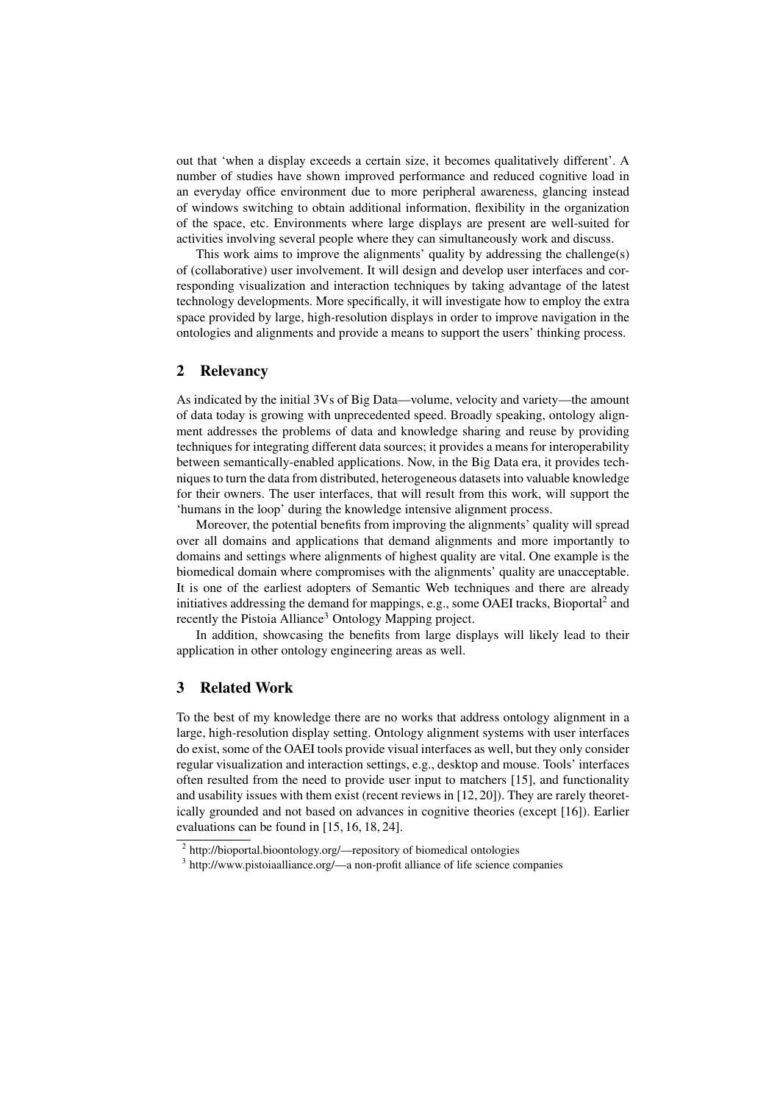out that 'when a display exceeds a certain size, it becomes qualitatively different'. A number of studies have shown improved performance and reduced cognitive load in an everyday office environment due to more peripheral awareness, glancing instead of windows switching to obtain additional information, flexibility in the organization of the space, etc. Environments where large displays are present are well-suited for activities involving several people where they can simultaneously work and discuss.

This work aims to improve the alignments' quality by addressing the challenge(s) of (collaborative) user involvement. It will design and develop user interfaces and corresponding visualization and interaction techniques by taking advantage of the latest technology developments. More specifically, it will investigate how to employ the extra space provided by large, high-resolution displays in order to improve navigation in the ontologies and alignments and provide a means to support the users' thinking process.

#### 2 Relevancy

As indicated by the initial 3Vs of Big Data—volume, velocity and variety—the amount of data today is growing with unprecedented speed. Broadly speaking, ontology alignment addresses the problems of data and knowledge sharing and reuse by providing techniques for integrating different data sources; it provides a means for interoperability between semantically-enabled applications. Now, in the Big Data era, it provides techniques to turn the data from distributed, heterogeneous datasets into valuable knowledge for their owners. The user interfaces, that will result from this work, will support the 'humans in the loop' during the knowledge intensive alignment process.

Moreover, the potential benefits from improving the alignments' quality will spread over all domains and applications that demand alignments and more importantly to domains and settings where alignments of highest quality are vital. One example is the biomedical domain where compromises with the alignments' quality are unacceptable. It is one of the earliest adopters of Semantic Web techniques and there are already initiatives addressing the demand for mappings, e.g., some OAEI tracks, Bioportal<sup>2</sup> and recently the Pistoia Alliance<sup>3</sup> Ontology Mapping project.

In addition, showcasing the benefits from large displays will likely lead to their application in other ontology engineering areas as well.

## 3 Related Work

To the best of my knowledge there are no works that address ontology alignment in a large, high-resolution display setting. Ontology alignment systems with user interfaces do exist, some of the OAEI tools provide visual interfaces as well, but they only consider regular visualization and interaction settings, e.g., desktop and mouse. Tools' interfaces often resulted from the need to provide user input to matchers [15], and functionality and usability issues with them exist (recent reviews in [12, 20]). They are rarely theoretically grounded and not based on advances in cognitive theories (except [16]). Earlier evaluations can be found in [15, 16, 18, 24].

<sup>&</sup>lt;sup>2</sup> http://bioportal.bioontology.org/—repository of biomedical ontologies

<sup>&</sup>lt;sup>3</sup> http://www.pistoiaalliance.org/—a non-profit alliance of life science companies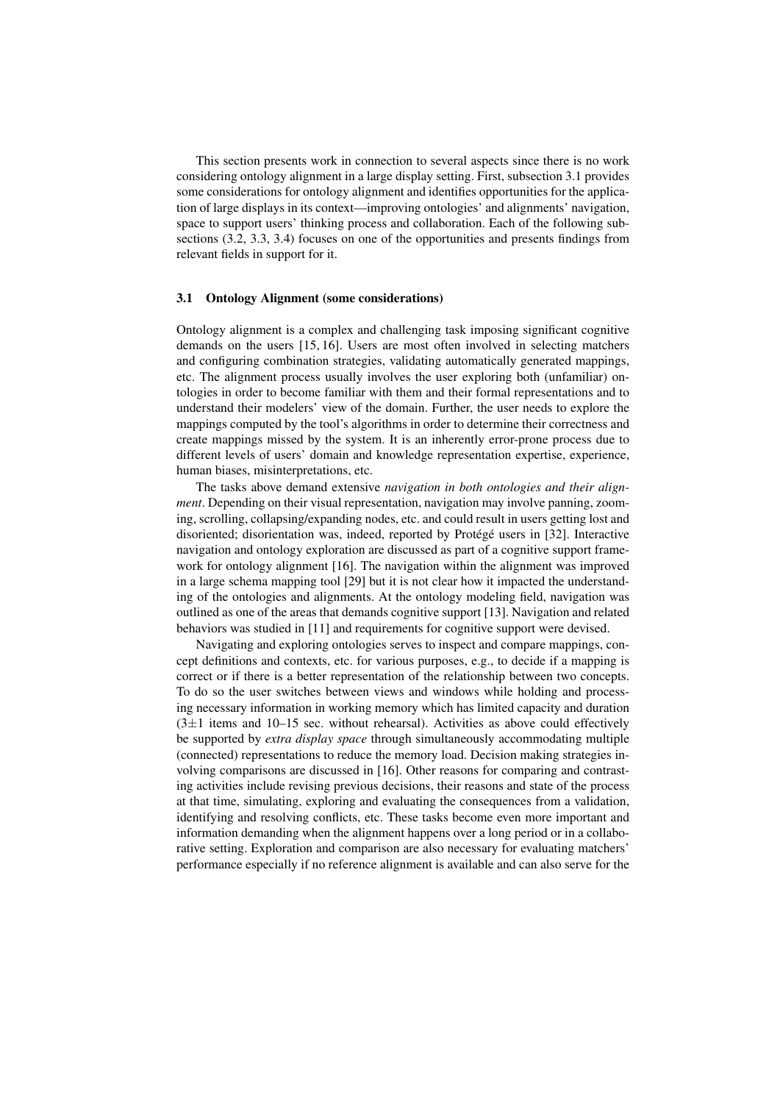This section presents work in connection to several aspects since there is no work considering ontology alignment in a large display setting. First, subsection 3.1 provides some considerations for ontology alignment and identifies opportunities for the application of large displays in its context—improving ontologies' and alignments' navigation, space to support users' thinking process and collaboration. Each of the following subsections (3.2, 3.3, 3.4) focuses on one of the opportunities and presents findings from relevant fields in support for it.

#### 3.1 Ontology Alignment (some considerations)

Ontology alignment is a complex and challenging task imposing significant cognitive demands on the users [15, 16]. Users are most often involved in selecting matchers and configuring combination strategies, validating automatically generated mappings, etc. The alignment process usually involves the user exploring both (unfamiliar) ontologies in order to become familiar with them and their formal representations and to understand their modelers' view of the domain. Further, the user needs to explore the mappings computed by the tool's algorithms in order to determine their correctness and create mappings missed by the system. It is an inherently error-prone process due to different levels of users' domain and knowledge representation expertise, experience, human biases, misinterpretations, etc.

The tasks above demand extensive *navigation in both ontologies and their alignment*. Depending on their visual representation, navigation may involve panning, zooming, scrolling, collapsing/expanding nodes, etc. and could result in users getting lost and disoriented; disorientation was, indeed, reported by Protégé users in [32]. Interactive navigation and ontology exploration are discussed as part of a cognitive support framework for ontology alignment [16]. The navigation within the alignment was improved in a large schema mapping tool [29] but it is not clear how it impacted the understanding of the ontologies and alignments. At the ontology modeling field, navigation was outlined as one of the areas that demands cognitive support [13]. Navigation and related behaviors was studied in [11] and requirements for cognitive support were devised.

Navigating and exploring ontologies serves to inspect and compare mappings, concept definitions and contexts, etc. for various purposes, e.g., to decide if a mapping is correct or if there is a better representation of the relationship between two concepts. To do so the user switches between views and windows while holding and processing necessary information in working memory which has limited capacity and duration  $(3±1)$  items and  $10-15$  sec. without rehearsal). Activities as above could effectively be supported by *extra display space* through simultaneously accommodating multiple (connected) representations to reduce the memory load. Decision making strategies involving comparisons are discussed in [16]. Other reasons for comparing and contrasting activities include revising previous decisions, their reasons and state of the process at that time, simulating, exploring and evaluating the consequences from a validation, identifying and resolving conflicts, etc. These tasks become even more important and information demanding when the alignment happens over a long period or in a collaborative setting. Exploration and comparison are also necessary for evaluating matchers' performance especially if no reference alignment is available and can also serve for the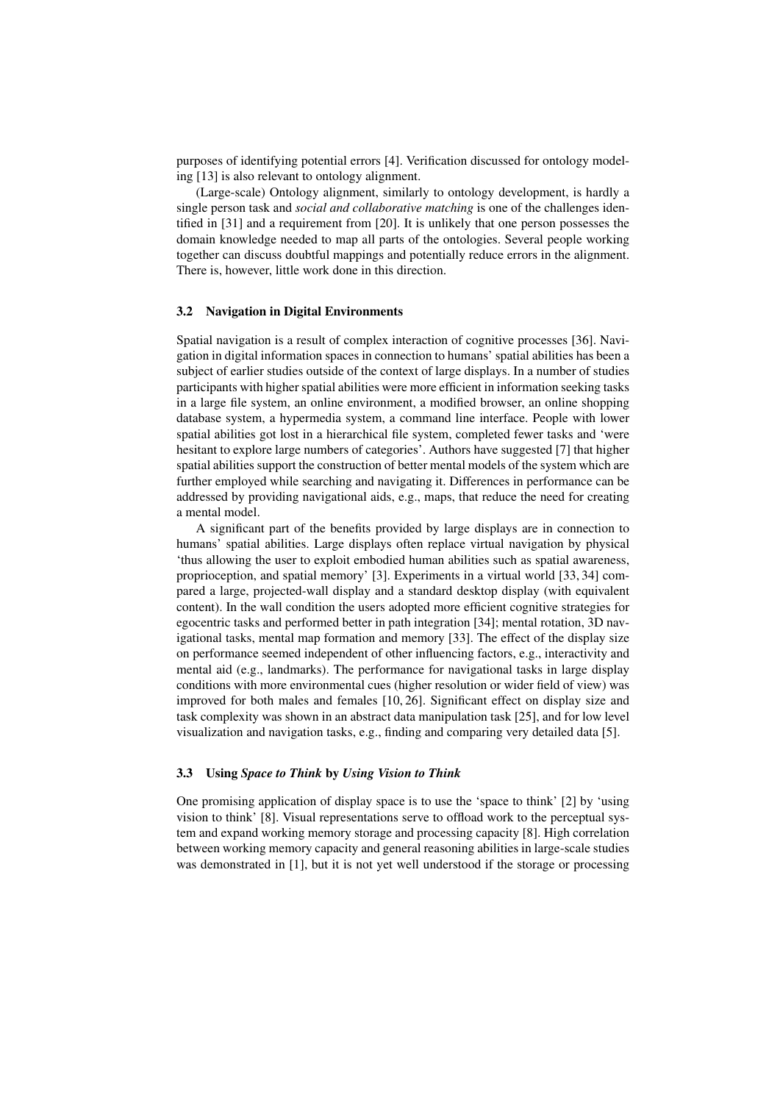purposes of identifying potential errors [4]. Verification discussed for ontology modeling [13] is also relevant to ontology alignment.

(Large-scale) Ontology alignment, similarly to ontology development, is hardly a single person task and *social and collaborative matching* is one of the challenges identified in [31] and a requirement from [20]. It is unlikely that one person possesses the domain knowledge needed to map all parts of the ontologies. Several people working together can discuss doubtful mappings and potentially reduce errors in the alignment. There is, however, little work done in this direction.

#### 3.2 Navigation in Digital Environments

Spatial navigation is a result of complex interaction of cognitive processes [36]. Navigation in digital information spaces in connection to humans' spatial abilities has been a subject of earlier studies outside of the context of large displays. In a number of studies participants with higher spatial abilities were more efficient in information seeking tasks in a large file system, an online environment, a modified browser, an online shopping database system, a hypermedia system, a command line interface. People with lower spatial abilities got lost in a hierarchical file system, completed fewer tasks and 'were hesitant to explore large numbers of categories'. Authors have suggested [7] that higher spatial abilities support the construction of better mental models of the system which are further employed while searching and navigating it. Differences in performance can be addressed by providing navigational aids, e.g., maps, that reduce the need for creating a mental model.

A significant part of the benefits provided by large displays are in connection to humans' spatial abilities. Large displays often replace virtual navigation by physical 'thus allowing the user to exploit embodied human abilities such as spatial awareness, proprioception, and spatial memory' [3]. Experiments in a virtual world [33, 34] compared a large, projected-wall display and a standard desktop display (with equivalent content). In the wall condition the users adopted more efficient cognitive strategies for egocentric tasks and performed better in path integration [34]; mental rotation, 3D navigational tasks, mental map formation and memory [33]. The effect of the display size on performance seemed independent of other influencing factors, e.g., interactivity and mental aid (e.g., landmarks). The performance for navigational tasks in large display conditions with more environmental cues (higher resolution or wider field of view) was improved for both males and females [10, 26]. Significant effect on display size and task complexity was shown in an abstract data manipulation task [25], and for low level visualization and navigation tasks, e.g., finding and comparing very detailed data [5].

#### 3.3 Using *Space to Think* by *Using Vision to Think*

One promising application of display space is to use the 'space to think' [2] by 'using vision to think' [8]. Visual representations serve to offload work to the perceptual system and expand working memory storage and processing capacity [8]. High correlation between working memory capacity and general reasoning abilities in large-scale studies was demonstrated in [1], but it is not yet well understood if the storage or processing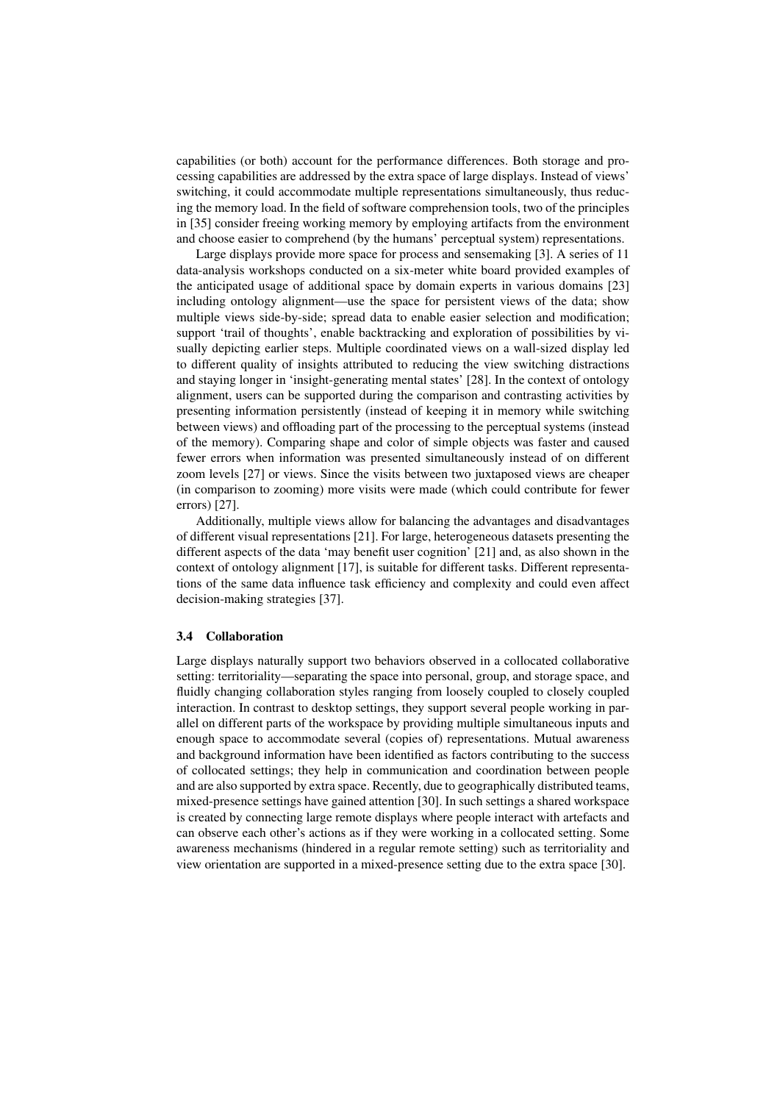capabilities (or both) account for the performance differences. Both storage and processing capabilities are addressed by the extra space of large displays. Instead of views' switching, it could accommodate multiple representations simultaneously, thus reducing the memory load. In the field of software comprehension tools, two of the principles in [35] consider freeing working memory by employing artifacts from the environment and choose easier to comprehend (by the humans' perceptual system) representations.

Large displays provide more space for process and sensemaking [3]. A series of 11 data-analysis workshops conducted on a six-meter white board provided examples of the anticipated usage of additional space by domain experts in various domains [23] including ontology alignment—use the space for persistent views of the data; show multiple views side-by-side; spread data to enable easier selection and modification; support 'trail of thoughts', enable backtracking and exploration of possibilities by visually depicting earlier steps. Multiple coordinated views on a wall-sized display led to different quality of insights attributed to reducing the view switching distractions and staying longer in 'insight-generating mental states' [28]. In the context of ontology alignment, users can be supported during the comparison and contrasting activities by presenting information persistently (instead of keeping it in memory while switching between views) and offloading part of the processing to the perceptual systems (instead of the memory). Comparing shape and color of simple objects was faster and caused fewer errors when information was presented simultaneously instead of on different zoom levels [27] or views. Since the visits between two juxtaposed views are cheaper (in comparison to zooming) more visits were made (which could contribute for fewer errors) [27].

Additionally, multiple views allow for balancing the advantages and disadvantages of different visual representations [21]. For large, heterogeneous datasets presenting the different aspects of the data 'may benefit user cognition' [21] and, as also shown in the context of ontology alignment [17], is suitable for different tasks. Different representations of the same data influence task efficiency and complexity and could even affect decision-making strategies [37].

#### 3.4 Collaboration

Large displays naturally support two behaviors observed in a collocated collaborative setting: territoriality—separating the space into personal, group, and storage space, and fluidly changing collaboration styles ranging from loosely coupled to closely coupled interaction. In contrast to desktop settings, they support several people working in parallel on different parts of the workspace by providing multiple simultaneous inputs and enough space to accommodate several (copies of) representations. Mutual awareness and background information have been identified as factors contributing to the success of collocated settings; they help in communication and coordination between people and are also supported by extra space. Recently, due to geographically distributed teams, mixed-presence settings have gained attention [30]. In such settings a shared workspace is created by connecting large remote displays where people interact with artefacts and can observe each other's actions as if they were working in a collocated setting. Some awareness mechanisms (hindered in a regular remote setting) such as territoriality and view orientation are supported in a mixed-presence setting due to the extra space [30].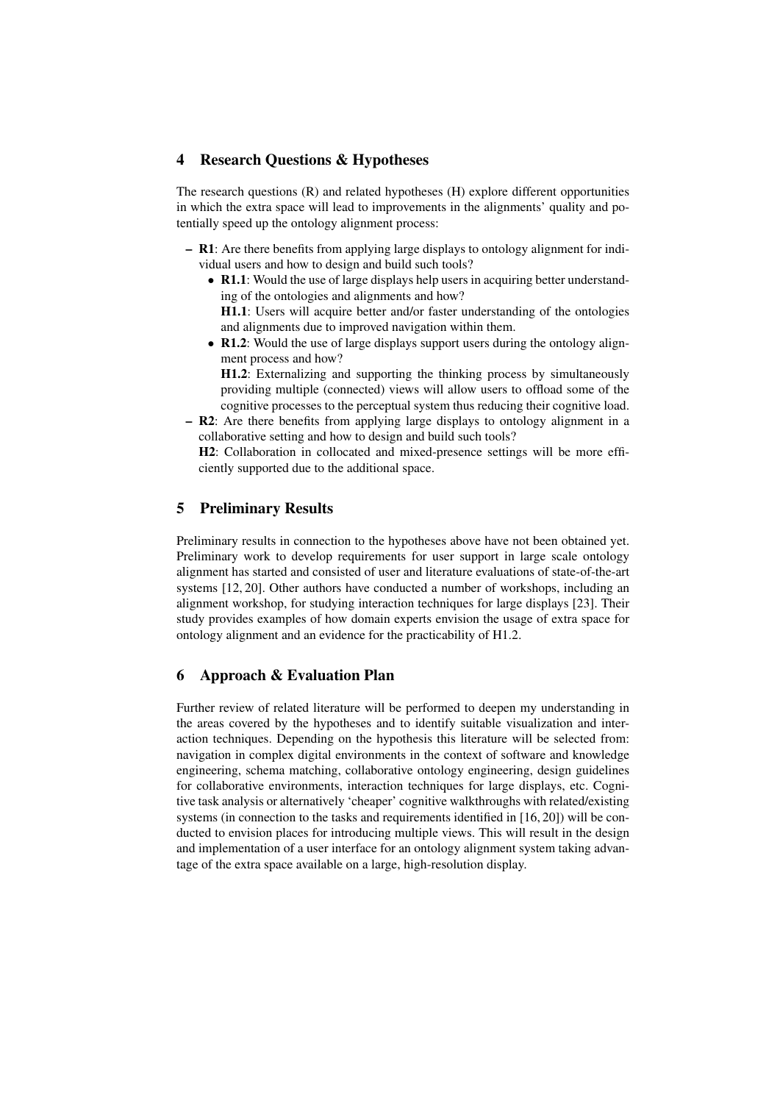## 4 Research Questions & Hypotheses

The research questions (R) and related hypotheses (H) explore different opportunities in which the extra space will lead to improvements in the alignments' quality and potentially speed up the ontology alignment process:

- R1: Are there benefits from applying large displays to ontology alignment for individual users and how to design and build such tools?
	- R1.1: Would the use of large displays help users in acquiring better understanding of the ontologies and alignments and how? H1.1: Users will acquire better and/or faster understanding of the ontologies

and alignments due to improved navigation within them.

• R1.2: Would the use of large displays support users during the ontology alignment process and how?

H1.2: Externalizing and supporting the thinking process by simultaneously providing multiple (connected) views will allow users to offload some of the cognitive processes to the perceptual system thus reducing their cognitive load.

– R2: Are there benefits from applying large displays to ontology alignment in a collaborative setting and how to design and build such tools?

H2: Collaboration in collocated and mixed-presence settings will be more efficiently supported due to the additional space.

# 5 Preliminary Results

Preliminary results in connection to the hypotheses above have not been obtained yet. Preliminary work to develop requirements for user support in large scale ontology alignment has started and consisted of user and literature evaluations of state-of-the-art systems [12, 20]. Other authors have conducted a number of workshops, including an alignment workshop, for studying interaction techniques for large displays [23]. Their study provides examples of how domain experts envision the usage of extra space for ontology alignment and an evidence for the practicability of H1.2.

## 6 Approach & Evaluation Plan

Further review of related literature will be performed to deepen my understanding in the areas covered by the hypotheses and to identify suitable visualization and interaction techniques. Depending on the hypothesis this literature will be selected from: navigation in complex digital environments in the context of software and knowledge engineering, schema matching, collaborative ontology engineering, design guidelines for collaborative environments, interaction techniques for large displays, etc. Cognitive task analysis or alternatively 'cheaper' cognitive walkthroughs with related/existing systems (in connection to the tasks and requirements identified in [16, 20]) will be conducted to envision places for introducing multiple views. This will result in the design and implementation of a user interface for an ontology alignment system taking advantage of the extra space available on a large, high-resolution display.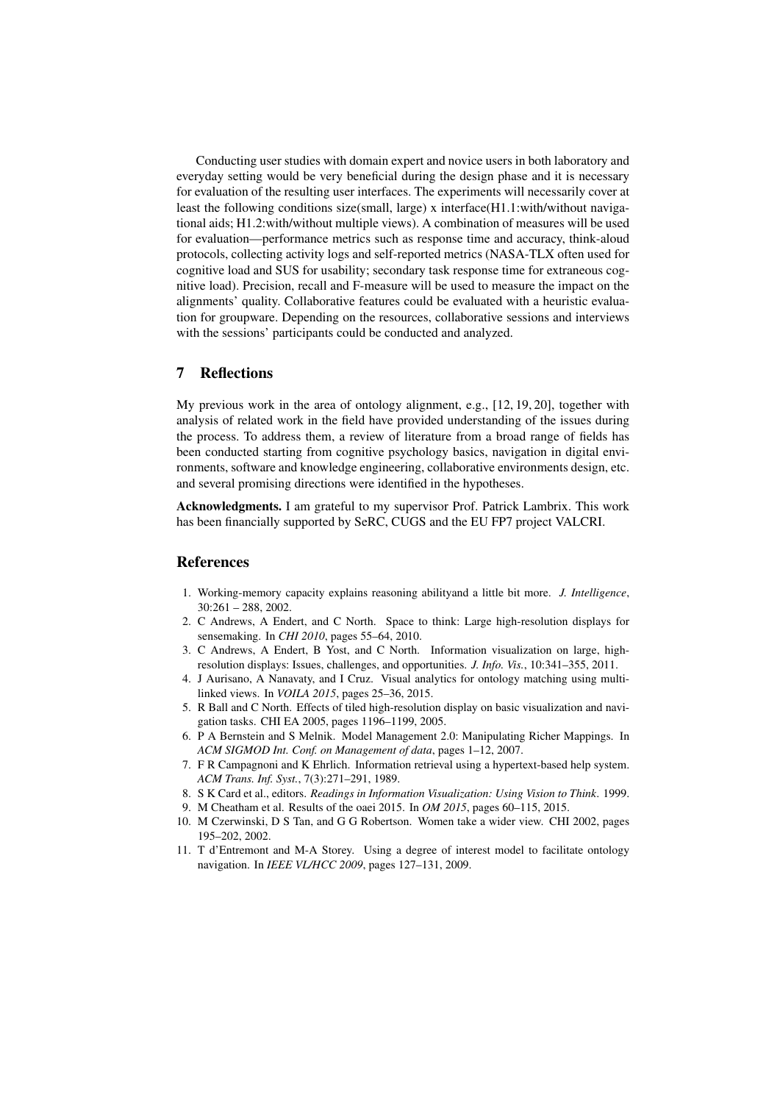Conducting user studies with domain expert and novice users in both laboratory and everyday setting would be very beneficial during the design phase and it is necessary for evaluation of the resulting user interfaces. The experiments will necessarily cover at least the following conditions size(small, large) x interface(H1.1:with/without navigational aids; H1.2:with/without multiple views). A combination of measures will be used for evaluation—performance metrics such as response time and accuracy, think-aloud protocols, collecting activity logs and self-reported metrics (NASA-TLX often used for cognitive load and SUS for usability; secondary task response time for extraneous cognitive load). Precision, recall and F-measure will be used to measure the impact on the alignments' quality. Collaborative features could be evaluated with a heuristic evaluation for groupware. Depending on the resources, collaborative sessions and interviews with the sessions' participants could be conducted and analyzed.

# 7 Reflections

My previous work in the area of ontology alignment, e.g., [12, 19, 20], together with analysis of related work in the field have provided understanding of the issues during the process. To address them, a review of literature from a broad range of fields has been conducted starting from cognitive psychology basics, navigation in digital environments, software and knowledge engineering, collaborative environments design, etc. and several promising directions were identified in the hypotheses.

Acknowledgments. I am grateful to my supervisor Prof. Patrick Lambrix. This work has been financially supported by SeRC, CUGS and the EU FP7 project VALCRI.

## References

- 1. Working-memory capacity explains reasoning abilityand a little bit more. *J. Intelligence*, 30:261 – 288, 2002.
- 2. C Andrews, A Endert, and C North. Space to think: Large high-resolution displays for sensemaking. In *CHI 2010*, pages 55–64, 2010.
- 3. C Andrews, A Endert, B Yost, and C North. Information visualization on large, highresolution displays: Issues, challenges, and opportunities. *J. Info. Vis.*, 10:341–355, 2011.
- 4. J Aurisano, A Nanavaty, and I Cruz. Visual analytics for ontology matching using multilinked views. In *VOILA 2015*, pages 25–36, 2015.
- 5. R Ball and C North. Effects of tiled high-resolution display on basic visualization and navigation tasks. CHI EA 2005, pages 1196–1199, 2005.
- 6. P A Bernstein and S Melnik. Model Management 2.0: Manipulating Richer Mappings. In *ACM SIGMOD Int. Conf. on Management of data*, pages 1–12, 2007.
- 7. F R Campagnoni and K Ehrlich. Information retrieval using a hypertext-based help system. *ACM Trans. Inf. Syst.*, 7(3):271–291, 1989.
- 8. S K Card et al., editors. *Readings in Information Visualization: Using Vision to Think*. 1999.
- 9. M Cheatham et al. Results of the oaei 2015. In *OM 2015*, pages 60–115, 2015.
- 10. M Czerwinski, D S Tan, and G G Robertson. Women take a wider view. CHI 2002, pages 195–202, 2002.
- 11. T d'Entremont and M-A Storey. Using a degree of interest model to facilitate ontology navigation. In *IEEE VL/HCC 2009*, pages 127–131, 2009.